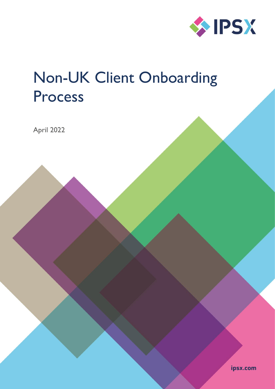

# Non-UK Client Onboarding Process

April 2022

ipsx.com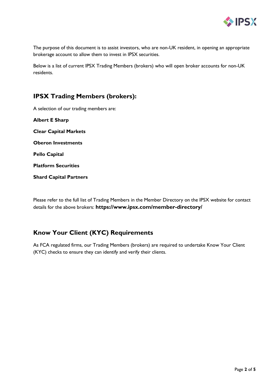

The purpose of this document is to assist investors, who are non-UK resident, in opening an appropriate brokerage account to allow them to invest in IPSX securities.

Below is a list of current IPSX Trading Members (brokers) who will open broker accounts for non-UK residents.

## **IPSX Trading Members (brokers):**

A selection of our trading members are:

**Albert E Sharp Clear Capital Markets Oberon Investments Pello Capital Platform Securities Shard Capital Partners**

Please refer to the full list of Trading Members in the Member Directory on the IPSX website for contact details for the above brokers: **https://www.ipsx.com/member-directory/**

## **Know Your Client (KYC) Requirements**

As FCA regulated firms, our Trading Members (brokers) are required to undertake Know Your Client (KYC) checks to ensure they can identify and verify their clients.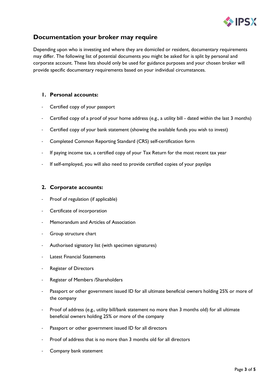

## **Documentation your broker may require**

Depending upon who is investing and where they are domiciled or resident, documentary requirements may differ. The following list of potential documents you might be asked for is split by personal and corporate account. These lists should only be used for guidance purposes and your chosen broker will provide specific documentary requirements based on your individual circumstances.

### **1. Personal accounts:**

- Certified copy of your passport
- Certified copy of a proof of your home address (e.g., a utility bill dated within the last 3 months)
- Certified copy of your bank statement (showing the available funds you wish to invest)
- Completed Common Reporting Standard (CRS) self-certification form
- If paying income tax, a certified copy of your Tax Return for the most recent tax year
- If self-employed, you will also need to provide certified copies of your payslips

#### **2. Corporate accounts:**

- Proof of regulation (if applicable)
- Certificate of incorporation
- Memorandum and Articles of Association
- Group structure chart
- Authorised signatory list (with specimen signatures)
- Latest Financial Statements
- **Register of Directors**
- Register of Members /Shareholders
- Passport or other government issued ID for all ultimate beneficial owners holding 25% or more of the company
- Proof of address (e.g., utility bill/bank statement no more than 3 months old) for all ultimate beneficial owners holding 25% or more of the company
- Passport or other government issued ID for all directors
- Proof of address that is no more than 3 months old for all directors
- Company bank statement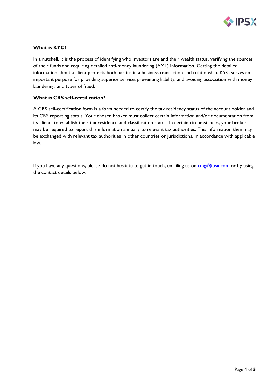

#### **What is KYC?**

In a nutshell, it is the process of identifying who investors are and their wealth status, verifying the sources of their funds and requiring detailed [anti-money laundering \(AML\)](https://www.investopedia.com/terms/a/aml.asp) information. Getting the detailed information about a client protects both parties in a business transaction and relationship. KYC serves an important purpose for providing superior service, preventing liability, and avoiding association with money laundering, and types of fraud.

#### **What is CRS self-certification?**

A CRS self-certification form is a form needed to certify the tax residency status of the account holder and its CRS reporting status. Your chosen broker must collect certain information and/or documentation from its clients to establish their tax residence and classification status. In certain circumstances, your broker may be required to report this information annually to relevant tax authorities. This information then may be exchanged with relevant tax authorities in other countries or jurisdictions, in accordance with applicable law.

If you have any questions, please do not hesitate to get in touch, emailing us on  $\text{cmg@ipsx.com}$  or by using the contact details below.